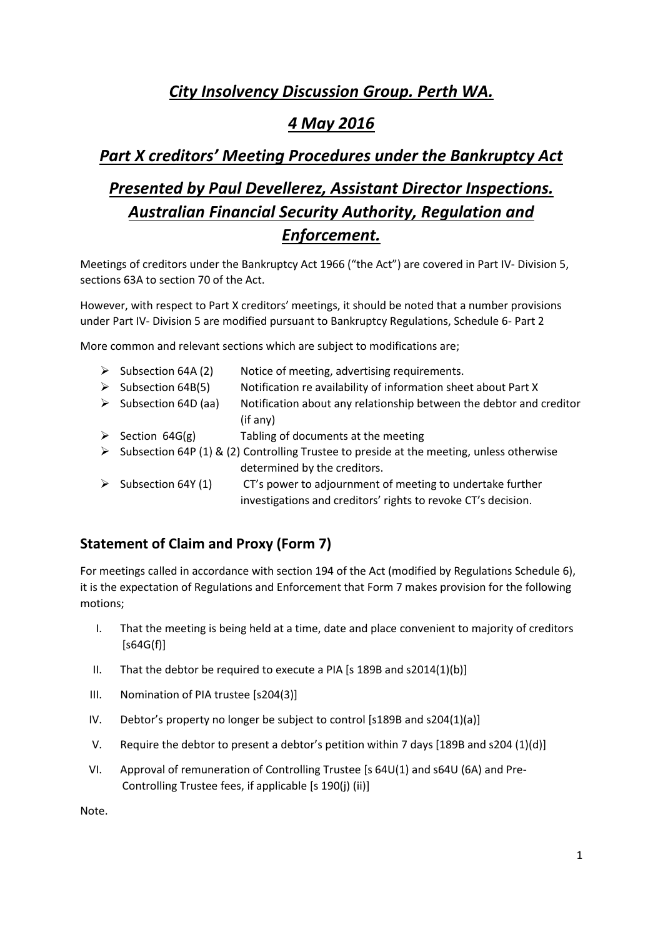# *City Insolvency Discussion Group. Perth WA.*

# *4 May 2016*

## *Part X creditors' Meeting Procedures under the Bankruptcy Act*

# *Presented by Paul Devellerez, Assistant Director Inspections. Australian Financial Security Authority, Regulation and Enforcement.*

Meetings of creditors under the Bankruptcy Act 1966 ("the Act") are covered in Part IV- Division 5, sections 63A to section 70 of the Act.

However, with respect to Part X creditors' meetings, it should be noted that a number provisions under Part IV- Division 5 are modified pursuant to Bankruptcy Regulations, Schedule 6- Part 2

More common and relevant sections which are subject to modifications are;

|   | $\triangleright$ Subsection 64A (2)                                                      | Notice of meeting, advertising requirements.                        |
|---|------------------------------------------------------------------------------------------|---------------------------------------------------------------------|
| ➤ | Subsection 64B(5)                                                                        | Notification re availability of information sheet about Part X      |
|   | $\triangleright$ Subsection 64D (aa)                                                     | Notification about any relationship between the debtor and creditor |
|   |                                                                                          | (if any)                                                            |
|   | $\triangleright$ Section 64G(g)                                                          | Tabling of documents at the meeting                                 |
|   | Subsection 64P (1) & (2) Controlling Trustee to preside at the meeting, unless otherwise |                                                                     |
|   |                                                                                          | determined by the creditors.                                        |
|   | $\triangleright$ Subsection 64Y (1)                                                      | CT's power to adjournment of meeting to undertake further           |
|   |                                                                                          | investigations and creditors' rights to revoke CT's decision.       |

### **Statement of Claim and Proxy (Form 7)**

For meetings called in accordance with section 194 of the Act (modified by Regulations Schedule 6), it is the expectation of Regulations and Enforcement that Form 7 makes provision for the following motions;

- I. That the meeting is being held at a time, date and place convenient to majority of creditors  $[$ s64G(f)]
- II. That the debtor be required to execute a PIA [s 189B and s2014(1)(b)]
- III. Nomination of PIA trustee [s204(3)]
- IV. Debtor's property no longer be subject to control [s189B and s204(1)(a)]
- V. Require the debtor to present a debtor's petition within 7 days [189B and s204 (1)(d)]
- VI. Approval of remuneration of Controlling Trustee [s 64U(1) and s64U (6A) and Pre-Controlling Trustee fees, if applicable [s 190(j) (ii)]

Note.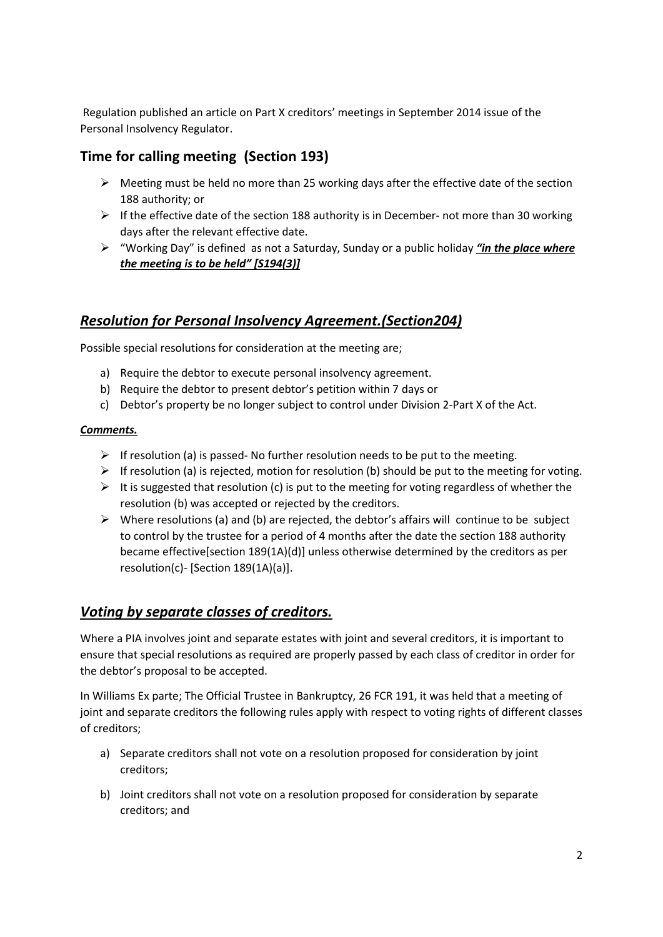Regulation published an article on Part X creditors' meetings in September 2014 issue of the Personal Insolvency Regulator.

#### **Time for calling meeting (Section 193)**

- $\triangleright$  Meeting must be held no more than 25 working days after the effective date of the section 188 authority; or
- $\triangleright$  If the effective date of the section 188 authority is in December- not more than 30 working days after the relevant effective date.
- "Working Day" is defined as not a Saturday, Sunday or a public holiday *"in the place where the meeting is to be held" [S194(3)]*

#### *Resolution for Personal Insolvency Agreement.(Section204)*

Possible special resolutions for consideration at the meeting are;

- a) Require the debtor to execute personal insolvency agreement.
- b) Require the debtor to present debtor's petition within 7 days or
- c) Debtor's property be no longer subject to control under Division 2-Part X of the Act.

#### *Comments.*

- $\triangleright$  If resolution (a) is passed- No further resolution needs to be put to the meeting.
- $\triangleright$  If resolution (a) is rejected, motion for resolution (b) should be put to the meeting for voting.
- $\triangleright$  It is suggested that resolution (c) is put to the meeting for voting regardless of whether the resolution (b) was accepted or rejected by the creditors.
- $\triangleright$  Where resolutions (a) and (b) are rejected, the debtor's affairs will continue to be subject to control by the trustee for a period of 4 months after the date the section 188 authority became effective[section 189(1A)(d)] unless otherwise determined by the creditors as per resolution(c)- [Section 189(1A)(a)].

#### *Voting by separate classes of creditors.*

Where a PIA involves joint and separate estates with joint and several creditors, it is important to ensure that special resolutions as required are properly passed by each class of creditor in order for the debtor's proposal to be accepted.

In Williams Ex parte; The Official Trustee in Bankruptcy, 26 FCR 191, it was held that a meeting of joint and separate creditors the following rules apply with respect to voting rights of different classes of creditors;

- a) Separate creditors shall not vote on a resolution proposed for consideration by joint creditors;
- b) Joint creditors shall not vote on a resolution proposed for consideration by separate creditors; and